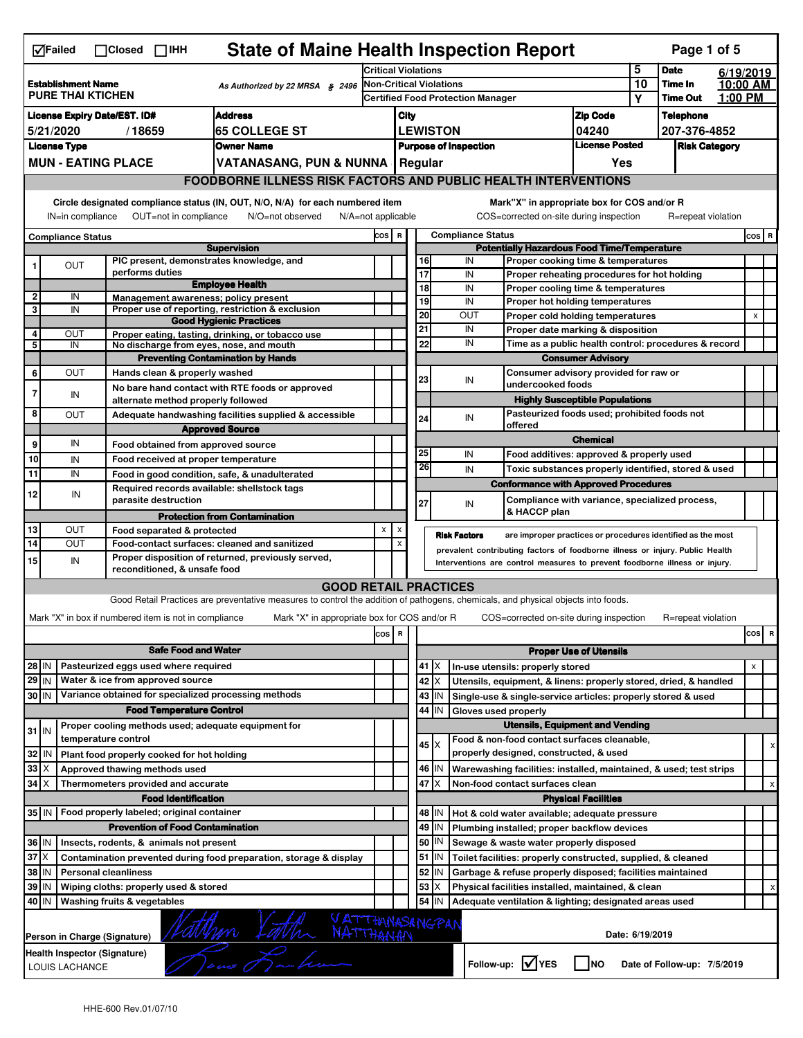|                                                             | <b>State of Maine Health Inspection Report</b><br>Page 1 of 5<br>$\nabla$ Failed<br>$\Box$ Closed $\Box$ IHH                                                                                                                                                                              |  |                                                                     |                                                                                                                                   |                            |                     |                       |                          |                                                                                                |                                                                            |                                       |              |                             |         |                |   |
|-------------------------------------------------------------|-------------------------------------------------------------------------------------------------------------------------------------------------------------------------------------------------------------------------------------------------------------------------------------------|--|---------------------------------------------------------------------|-----------------------------------------------------------------------------------------------------------------------------------|----------------------------|---------------------|-----------------------|--------------------------|------------------------------------------------------------------------------------------------|----------------------------------------------------------------------------|---------------------------------------|--------------|-----------------------------|---------|----------------|---|
| <b>Establishment Name</b>                                   |                                                                                                                                                                                                                                                                                           |  |                                                                     |                                                                                                                                   | <b>Critical Violations</b> |                     |                       |                          | 5<br>10                                                                                        | <b>Date</b>                                                                | 6/19/2019<br>10:00 AM                 |              |                             |         |                |   |
| As Authorized by 22 MRSA § 2496<br><b>PURE THAI KTICHEN</b> |                                                                                                                                                                                                                                                                                           |  |                                                                     | <b>Non-Critical Violations</b><br><b>Certified Food Protection Manager</b>                                                        |                            |                     |                       | Υ                        | Time In<br><b>Time Out</b>                                                                     | 1:00 PM                                                                    |                                       |              |                             |         |                |   |
| <b>Address</b><br><b>License Expiry Date/EST. ID#</b>       |                                                                                                                                                                                                                                                                                           |  |                                                                     |                                                                                                                                   |                            | City                |                       |                          |                                                                                                |                                                                            | <b>Zip Code</b>                       |              | <b>Telephone</b>            |         |                |   |
| <b>65 COLLEGE ST</b><br>5/21/2020<br>/18659                 |                                                                                                                                                                                                                                                                                           |  |                                                                     |                                                                                                                                   |                            |                     | <b>LEWISTON</b>       |                          |                                                                                                | 04240                                                                      |                                       | 207-376-4852 |                             |         |                |   |
| <b>Owner Name</b><br><b>License Type</b>                    |                                                                                                                                                                                                                                                                                           |  |                                                                     | <b>Purpose of Inspection</b>                                                                                                      |                            |                     | <b>License Posted</b> |                          | <b>Risk Category</b>                                                                           |                                                                            |                                       |              |                             |         |                |   |
|                                                             |                                                                                                                                                                                                                                                                                           |  | <b>MUN - EATING PLACE</b>                                           | VATANASANG, PUN & NUNNA   Regular                                                                                                 |                            |                     |                       |                          |                                                                                                |                                                                            | Yes                                   |              |                             |         |                |   |
|                                                             |                                                                                                                                                                                                                                                                                           |  |                                                                     | <b>FOODBORNE ILLNESS RISK FACTORS AND PUBLIC HEALTH INTERVENTIONS</b>                                                             |                            |                     |                       |                          |                                                                                                |                                                                            |                                       |              |                             |         |                |   |
|                                                             |                                                                                                                                                                                                                                                                                           |  |                                                                     |                                                                                                                                   |                            |                     |                       |                          |                                                                                                |                                                                            |                                       |              |                             |         |                |   |
|                                                             | Circle designated compliance status (IN, OUT, N/O, N/A) for each numbered item<br>Mark"X" in appropriate box for COS and/or R<br>IN=in compliance<br>OUT=not in compliance<br>COS=corrected on-site during inspection<br>N/O=not observed<br>$N/A = not$ applicable<br>R=repeat violation |  |                                                                     |                                                                                                                                   |                            |                     |                       |                          |                                                                                                |                                                                            |                                       |              |                             |         |                |   |
| <b>Compliance Status</b>                                    |                                                                                                                                                                                                                                                                                           |  |                                                                     | COS R                                                                                                                             |                            |                     |                       | <b>Compliance Status</b> |                                                                                                |                                                                            |                                       |              |                             | $cos$ R |                |   |
|                                                             |                                                                                                                                                                                                                                                                                           |  |                                                                     | <b>Supervision</b>                                                                                                                |                            |                     |                       |                          | <b>Potentially Hazardous Food Time/Temperature</b><br>IN<br>Proper cooking time & temperatures |                                                                            |                                       |              |                             |         |                |   |
|                                                             | OUT                                                                                                                                                                                                                                                                                       |  | PIC present, demonstrates knowledge, and<br>performs duties         |                                                                                                                                   |                            |                     |                       | 16<br>$\overline{17}$    | IN                                                                                             | Proper reheating procedures for hot holding                                |                                       |              |                             |         |                |   |
|                                                             |                                                                                                                                                                                                                                                                                           |  |                                                                     | <b>Employee Health</b>                                                                                                            |                            |                     |                       | 18                       | IN                                                                                             | Proper cooling time & temperatures                                         |                                       |              |                             |         |                |   |
| $\mathbf{2}$                                                | IN                                                                                                                                                                                                                                                                                        |  | Management awareness; policy present                                |                                                                                                                                   |                            |                     |                       | 19                       | IN                                                                                             | Proper hot holding temperatures                                            |                                       |              |                             |         |                |   |
| 3                                                           | IN                                                                                                                                                                                                                                                                                        |  |                                                                     | Proper use of reporting, restriction & exclusion<br><b>Good Hygienic Practices</b>                                                |                            |                     |                       | 20                       | OUT                                                                                            | Proper cold holding temperatures                                           |                                       |              |                             |         | X              |   |
| 4                                                           | OUT                                                                                                                                                                                                                                                                                       |  |                                                                     | Proper eating, tasting, drinking, or tobacco use                                                                                  |                            |                     |                       | 21                       | IN                                                                                             | Proper date marking & disposition                                          |                                       |              |                             |         |                |   |
| 5                                                           | IN                                                                                                                                                                                                                                                                                        |  | No discharge from eyes, nose, and mouth                             |                                                                                                                                   |                            |                     |                       | 22                       | IN                                                                                             | Time as a public health control: procedures & record                       |                                       |              |                             |         |                |   |
|                                                             |                                                                                                                                                                                                                                                                                           |  |                                                                     | <b>Preventing Contamination by Hands</b>                                                                                          |                            |                     |                       |                          |                                                                                                |                                                                            | <b>Consumer Advisory</b>              |              |                             |         |                |   |
| 6                                                           | OUT                                                                                                                                                                                                                                                                                       |  | Hands clean & properly washed                                       |                                                                                                                                   |                            |                     |                       | 23                       | IN                                                                                             | Consumer advisory provided for raw or                                      |                                       |              |                             |         |                |   |
| 7                                                           | IN                                                                                                                                                                                                                                                                                        |  |                                                                     | No bare hand contact with RTE foods or approved                                                                                   |                            |                     |                       |                          |                                                                                                | undercooked foods                                                          |                                       |              |                             |         |                |   |
|                                                             |                                                                                                                                                                                                                                                                                           |  | alternate method properly followed                                  |                                                                                                                                   |                            |                     |                       |                          |                                                                                                |                                                                            | <b>Highly Susceptible Populations</b> |              |                             |         |                |   |
| 8                                                           | OUT                                                                                                                                                                                                                                                                                       |  |                                                                     | Adequate handwashing facilities supplied & accessible                                                                             |                            |                     |                       | 24                       | IN                                                                                             | Pasteurized foods used; prohibited foods not<br>offered                    |                                       |              |                             |         |                |   |
|                                                             | IN                                                                                                                                                                                                                                                                                        |  |                                                                     | <b>Approved Source</b>                                                                                                            |                            |                     |                       |                          |                                                                                                |                                                                            | <b>Chemical</b>                       |              |                             |         |                |   |
| 9                                                           |                                                                                                                                                                                                                                                                                           |  | Food obtained from approved source                                  |                                                                                                                                   |                            |                     |                       | 25                       | IN                                                                                             | Food additives: approved & properly used                                   |                                       |              |                             |         |                |   |
| 10                                                          | IN                                                                                                                                                                                                                                                                                        |  | Food received at proper temperature                                 |                                                                                                                                   |                            |                     |                       | 26                       | IN                                                                                             | Toxic substances properly identified, stored & used                        |                                       |              |                             |         |                |   |
| 11                                                          | IN                                                                                                                                                                                                                                                                                        |  |                                                                     | Food in good condition, safe, & unadulterated                                                                                     |                            |                     |                       |                          |                                                                                                | <b>Conformance with Approved Procedures</b>                                |                                       |              |                             |         |                |   |
| 12                                                          | IN                                                                                                                                                                                                                                                                                        |  | Required records available: shellstock tags<br>parasite destruction |                                                                                                                                   |                            |                     |                       | 27                       | IN                                                                                             | Compliance with variance, specialized process,<br>& HACCP plan             |                                       |              |                             |         |                |   |
|                                                             |                                                                                                                                                                                                                                                                                           |  |                                                                     | <b>Protection from Contamination</b>                                                                                              |                            |                     |                       |                          |                                                                                                |                                                                            |                                       |              |                             |         |                |   |
| 13<br>14                                                    | OUT                                                                                                                                                                                                                                                                                       |  | Food separated & protected                                          |                                                                                                                                   | X                          | X<br>$\pmb{\times}$ |                       |                          | <b>Risk Factors</b>                                                                            | are improper practices or procedures identified as the most                |                                       |              |                             |         |                |   |
|                                                             | OUT<br>Food-contact surfaces: cleaned and sanitized<br>prevalent contributing factors of foodborne illness or injury. Public Health<br>Proper disposition of returned, previously served,                                                                                                 |  |                                                                     |                                                                                                                                   |                            |                     |                       |                          |                                                                                                |                                                                            |                                       |              |                             |         |                |   |
| 15                                                          | IN                                                                                                                                                                                                                                                                                        |  | reconditioned, & unsafe food                                        |                                                                                                                                   |                            |                     |                       |                          |                                                                                                | Interventions are control measures to prevent foodborne illness or injury. |                                       |              |                             |         |                |   |
|                                                             |                                                                                                                                                                                                                                                                                           |  |                                                                     | <b>GOOD RETAIL PRACTICES</b>                                                                                                      |                            |                     |                       |                          |                                                                                                |                                                                            |                                       |              |                             |         |                |   |
|                                                             |                                                                                                                                                                                                                                                                                           |  |                                                                     | Good Retail Practices are preventative measures to control the addition of pathogens, chemicals, and physical objects into foods. |                            |                     |                       |                          |                                                                                                |                                                                            |                                       |              |                             |         |                |   |
|                                                             |                                                                                                                                                                                                                                                                                           |  | Mark "X" in box if numbered item is not in compliance               | Mark "X" in appropriate box for COS and/or R                                                                                      |                            |                     |                       |                          |                                                                                                | COS=corrected on-site during inspection                                    |                                       |              | R=repeat violation          |         |                |   |
|                                                             |                                                                                                                                                                                                                                                                                           |  |                                                                     |                                                                                                                                   | cos                        | R                   |                       |                          |                                                                                                |                                                                            |                                       |              |                             |         | cos            | R |
|                                                             |                                                                                                                                                                                                                                                                                           |  | <b>Safe Food and Water</b>                                          |                                                                                                                                   |                            |                     |                       |                          |                                                                                                |                                                                            | <b>Proper Use of Utensils</b>         |              |                             |         |                |   |
| 28 IN                                                       |                                                                                                                                                                                                                                                                                           |  | Pasteurized eggs used where required                                |                                                                                                                                   |                            |                     |                       | 41 X                     |                                                                                                | In-use utensils: properly stored                                           |                                       |              |                             |         | $\pmb{\times}$ |   |
| $29$ IN                                                     |                                                                                                                                                                                                                                                                                           |  | Water & ice from approved source                                    |                                                                                                                                   |                            |                     |                       | 42 X                     |                                                                                                | Utensils, equipment, & linens: properly stored, dried, & handled           |                                       |              |                             |         |                |   |
| 30 IN                                                       |                                                                                                                                                                                                                                                                                           |  | Variance obtained for specialized processing methods                |                                                                                                                                   |                            |                     |                       | $43$   IN                |                                                                                                | Single-use & single-service articles: properly stored & used               |                                       |              |                             |         |                |   |
|                                                             |                                                                                                                                                                                                                                                                                           |  | <b>Food Temperature Control</b>                                     |                                                                                                                                   |                            |                     |                       | 44<br>IN                 | Gloves used properly                                                                           |                                                                            |                                       |              |                             |         |                |   |
| $31$ IN                                                     |                                                                                                                                                                                                                                                                                           |  | Proper cooling methods used; adequate equipment for                 |                                                                                                                                   |                            |                     |                       |                          |                                                                                                | <b>Utensils, Equipment and Vending</b>                                     |                                       |              |                             |         |                |   |
|                                                             |                                                                                                                                                                                                                                                                                           |  | temperature control                                                 |                                                                                                                                   |                            |                     |                       | $45 \times$              |                                                                                                | Food & non-food contact surfaces cleanable,                                |                                       |              |                             |         |                | х |
| 32                                                          | IN                                                                                                                                                                                                                                                                                        |  | Plant food properly cooked for hot holding                          |                                                                                                                                   |                            |                     |                       |                          |                                                                                                | properly designed, constructed, & used                                     |                                       |              |                             |         |                |   |
| $33 \times$                                                 |                                                                                                                                                                                                                                                                                           |  | Approved thawing methods used                                       |                                                                                                                                   |                            |                     |                       | 46   IN                  |                                                                                                | Warewashing facilities: installed, maintained, & used; test strips         |                                       |              |                             |         |                |   |
| $34$ $\times$                                               |                                                                                                                                                                                                                                                                                           |  | Thermometers provided and accurate                                  |                                                                                                                                   |                            |                     |                       | 47<br>ΙX                 | Non-food contact surfaces clean                                                                |                                                                            |                                       |              |                             |         | х              |   |
|                                                             |                                                                                                                                                                                                                                                                                           |  | <b>Food Identification</b>                                          |                                                                                                                                   |                            |                     |                       |                          |                                                                                                |                                                                            | <b>Physical Facilities</b>            |              |                             |         |                |   |
|                                                             |                                                                                                                                                                                                                                                                                           |  | 35 IN   Food properly labeled; original container                   |                                                                                                                                   |                            |                     |                       | 48   IN                  |                                                                                                | Hot & cold water available; adequate pressure                              |                                       |              |                             |         |                |   |
|                                                             |                                                                                                                                                                                                                                                                                           |  | <b>Prevention of Food Contamination</b>                             |                                                                                                                                   |                            |                     |                       | 49<br>IN                 |                                                                                                | Plumbing installed; proper backflow devices                                |                                       |              |                             |         |                |   |
| 36 IN                                                       |                                                                                                                                                                                                                                                                                           |  | Insects, rodents, & animals not present                             |                                                                                                                                   |                            |                     |                       | 50   IN                  |                                                                                                | Sewage & waste water properly disposed                                     |                                       |              |                             |         |                |   |
| $37$ $\times$                                               |                                                                                                                                                                                                                                                                                           |  |                                                                     | Contamination prevented during food preparation, storage & display                                                                |                            |                     |                       | $51$ $\vert$ IN          |                                                                                                | Toilet facilities: properly constructed, supplied, & cleaned               |                                       |              |                             |         |                |   |
| 38 IN                                                       |                                                                                                                                                                                                                                                                                           |  | <b>Personal cleanliness</b>                                         |                                                                                                                                   |                            |                     |                       | 52<br>IN                 |                                                                                                | Garbage & refuse properly disposed; facilities maintained                  |                                       |              |                             |         |                |   |
| 39 IN                                                       |                                                                                                                                                                                                                                                                                           |  | Wiping cloths: properly used & stored                               |                                                                                                                                   |                            |                     |                       | 53<br>X                  |                                                                                                | Physical facilities installed, maintained, & clean                         |                                       |              |                             |         |                |   |
| 40 IN                                                       |                                                                                                                                                                                                                                                                                           |  | Washing fruits & vegetables                                         |                                                                                                                                   |                            |                     |                       | 54<br>IN                 |                                                                                                | Adequate ventilation & lighting; designated areas used                     |                                       |              |                             |         |                |   |
|                                                             |                                                                                                                                                                                                                                                                                           |  | Person in Charge (Signature)                                        | VATTHANASANGPAN<br>NATTHANAN                                                                                                      |                            |                     |                       |                          |                                                                                                |                                                                            | Date: 6/19/2019                       |              |                             |         |                |   |
|                                                             | Health Inspector (Signature)<br>LOUIS LACHANCE                                                                                                                                                                                                                                            |  |                                                                     |                                                                                                                                   |                            |                     |                       |                          |                                                                                                | Follow-up: V YES                                                           | <b>INO</b>                            |              | Date of Follow-up: 7/5/2019 |         |                |   |
|                                                             |                                                                                                                                                                                                                                                                                           |  |                                                                     |                                                                                                                                   |                            |                     |                       |                          |                                                                                                |                                                                            |                                       |              |                             |         |                |   |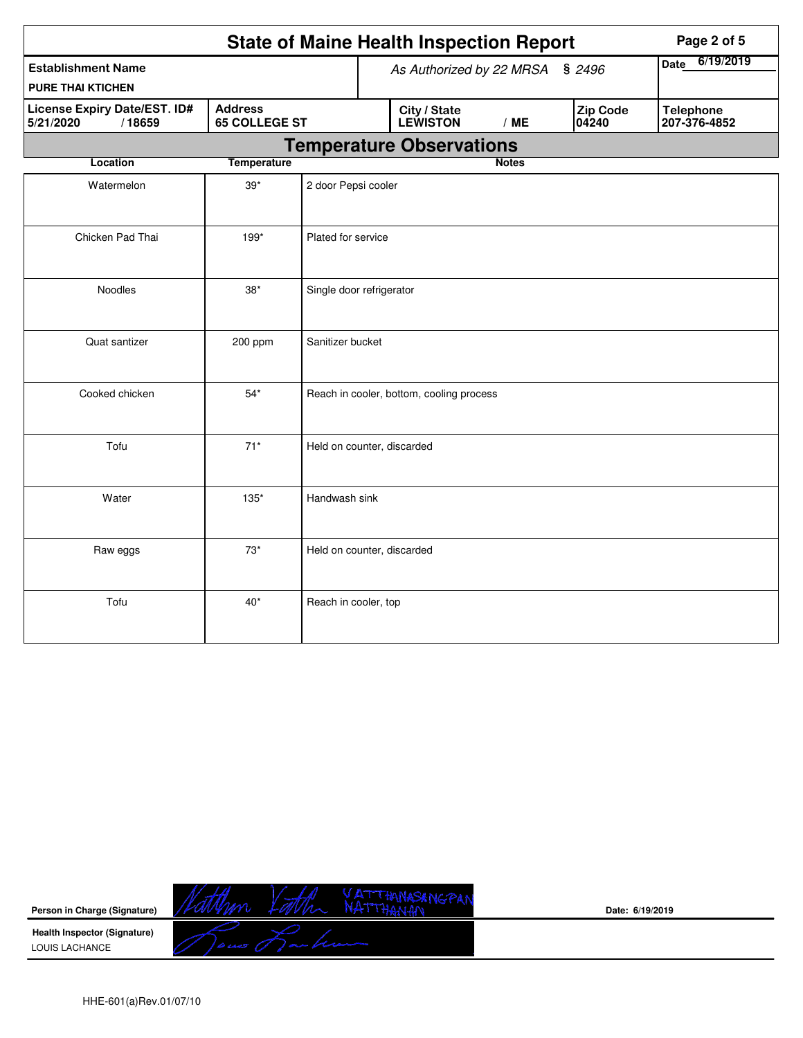|                                                            |                                          |                                                                    | <b>State of Maine Health Inspection Report</b> | Page 2 of 5  |                                  |  |
|------------------------------------------------------------|------------------------------------------|--------------------------------------------------------------------|------------------------------------------------|--------------|----------------------------------|--|
| <b>Establishment Name</b>                                  |                                          | As Authorized by 22 MRSA<br>\$2496                                 |                                                |              | 6/19/2019<br><b>Date</b>         |  |
| <b>PURE THAI KTICHEN</b>                                   |                                          |                                                                    |                                                |              |                                  |  |
| <b>License Expiry Date/EST. ID#</b><br>/18659<br>5/21/2020 | <b>65 COLLEGE ST</b>                     | <b>Zip Code</b><br>City / State<br><b>LEWISTON</b><br>/ME<br>04240 |                                                |              | <b>Telephone</b><br>207-376-4852 |  |
|                                                            |                                          | <b>Temperature Observations</b>                                    |                                                |              |                                  |  |
| Location<br><b>Temperature</b>                             |                                          |                                                                    |                                                | <b>Notes</b> |                                  |  |
| Watermelon                                                 | $39*$                                    | 2 door Pepsi cooler                                                |                                                |              |                                  |  |
| Chicken Pad Thai                                           | 199*                                     | Plated for service                                                 |                                                |              |                                  |  |
| Noodles<br>$38^{\ast}$                                     |                                          |                                                                    | Single door refrigerator                       |              |                                  |  |
| Quat santizer<br>Sanitizer bucket<br>200 ppm               |                                          |                                                                    |                                                |              |                                  |  |
| Cooked chicken                                             | Reach in cooler, bottom, cooling process |                                                                    |                                                |              |                                  |  |
| Tofu                                                       | $71*$                                    |                                                                    | Held on counter, discarded                     |              |                                  |  |
| Water                                                      | $135*$                                   | Handwash sink                                                      |                                                |              |                                  |  |
| Raw eggs                                                   | $73*$                                    |                                                                    | Held on counter, discarded                     |              |                                  |  |
| Tofu                                                       | $40*$                                    | Reach in cooler, top                                               |                                                |              |                                  |  |



**Date: 6/19/2019**

HHE-601(a)Rev.01/07/10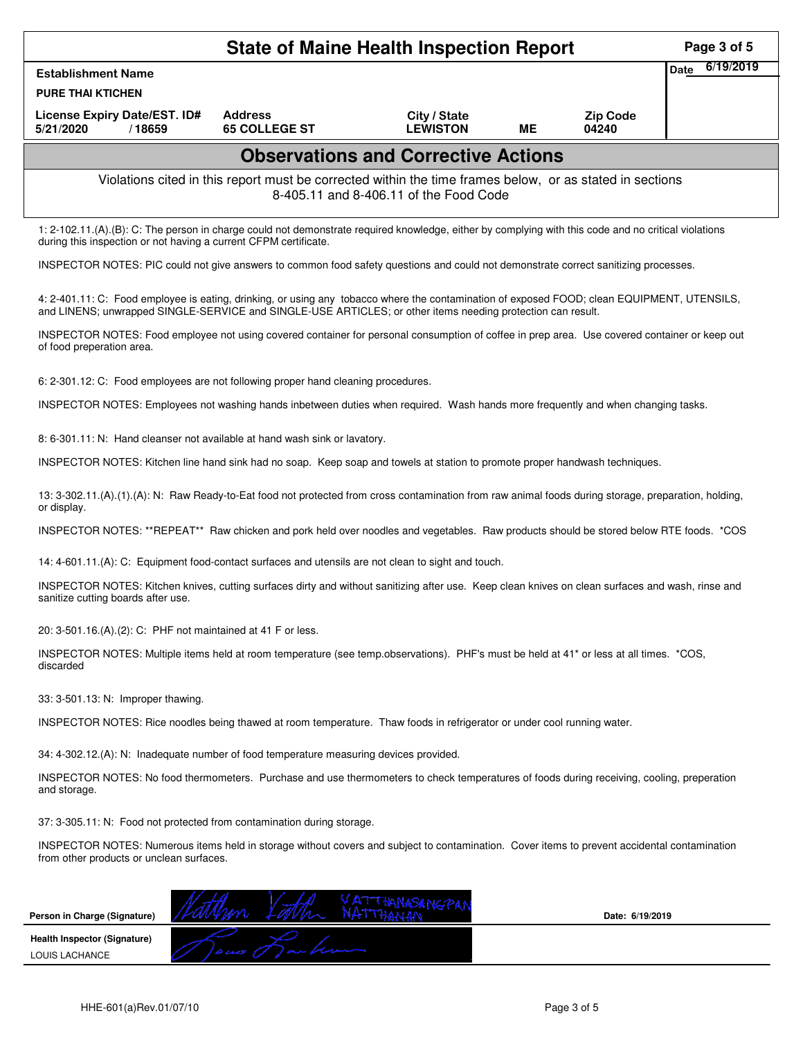|                                                                                                                                                                                                                                                            |                                                                                                          | <b>State of Maine Health Inspection Report</b> |           |                          | Page 3 of 5              |
|------------------------------------------------------------------------------------------------------------------------------------------------------------------------------------------------------------------------------------------------------------|----------------------------------------------------------------------------------------------------------|------------------------------------------------|-----------|--------------------------|--------------------------|
| <b>Establishment Name</b>                                                                                                                                                                                                                                  |                                                                                                          |                                                |           |                          | 6/19/2019<br><b>Date</b> |
| <b>PURE THAI KTICHEN</b>                                                                                                                                                                                                                                   |                                                                                                          |                                                |           |                          |                          |
| License Expiry Date/EST. ID#<br>5/21/2020<br>/18659                                                                                                                                                                                                        | <b>Address</b><br><b>65 COLLEGE ST</b>                                                                   | City / State<br><b>LEWISTON</b>                | <b>ME</b> | <b>Zip Code</b><br>04240 |                          |
|                                                                                                                                                                                                                                                            |                                                                                                          | <b>Observations and Corrective Actions</b>     |           |                          |                          |
|                                                                                                                                                                                                                                                            | Violations cited in this report must be corrected within the time frames below, or as stated in sections | 8-405.11 and 8-406.11 of the Food Code         |           |                          |                          |
| 1: 2-102.11.(A).(B): C: The person in charge could not demonstrate required knowledge, either by complying with this code and no critical violations<br>during this inspection or not having a current CFPM certificate.                                   |                                                                                                          |                                                |           |                          |                          |
| INSPECTOR NOTES: PIC could not give answers to common food safety questions and could not demonstrate correct sanitizing processes.                                                                                                                        |                                                                                                          |                                                |           |                          |                          |
| 4: 2-401.11: C: Food employee is eating, drinking, or using any tobacco where the contamination of exposed FOOD; clean EQUIPMENT, UTENSILS,<br>and LINENS; unwrapped SINGLE-SERVICE and SINGLE-USE ARTICLES; or other items needing protection can result. |                                                                                                          |                                                |           |                          |                          |
| INSPECTOR NOTES: Food employee not using covered container for personal consumption of coffee in prep area. Use covered container or keep out<br>of food preperation area.                                                                                 |                                                                                                          |                                                |           |                          |                          |
| 6: 2-301.12: C: Food employees are not following proper hand cleaning procedures.                                                                                                                                                                          |                                                                                                          |                                                |           |                          |                          |
| INSPECTOR NOTES: Employees not washing hands inbetween duties when required. Wash hands more frequently and when changing tasks.                                                                                                                           |                                                                                                          |                                                |           |                          |                          |
| 8: 6-301.11: N: Hand cleanser not available at hand wash sink or lavatory.                                                                                                                                                                                 |                                                                                                          |                                                |           |                          |                          |
| INSPECTOR NOTES: Kitchen line hand sink had no soap. Keep soap and towels at station to promote proper handwash techniques.                                                                                                                                |                                                                                                          |                                                |           |                          |                          |
| 13: 3-302.11.(A).(1).(A): N: Raw Ready-to-Eat food not protected from cross contamination from raw animal foods during storage, preparation, holding,<br>or display.                                                                                       |                                                                                                          |                                                |           |                          |                          |
| INSPECTOR NOTES: **REPEAT** Raw chicken and pork held over noodles and vegetables. Raw products should be stored below RTE foods. *COS                                                                                                                     |                                                                                                          |                                                |           |                          |                          |
| 14: 4-601.11.(A): C: Equipment food-contact surfaces and utensils are not clean to sight and touch.                                                                                                                                                        |                                                                                                          |                                                |           |                          |                          |
| INSPECTOR NOTES: Kitchen knives, cutting surfaces dirty and without sanitizing after use. Keep clean knives on clean surfaces and wash, rinse and<br>sanitize cutting boards after use.                                                                    |                                                                                                          |                                                |           |                          |                          |
| 20: 3-501.16.(A).(2): C: PHF not maintained at 41 F or less.                                                                                                                                                                                               |                                                                                                          |                                                |           |                          |                          |
| INSPECTOR NOTES: Multiple items held at room temperature (see temp.observations). PHF's must be held at 41* or less at all times. *COS,<br>discarded                                                                                                       |                                                                                                          |                                                |           |                          |                          |
| 33: 3-501.13: N: Improper thawing.                                                                                                                                                                                                                         |                                                                                                          |                                                |           |                          |                          |
| INSPECTOR NOTES: Rice noodles being thawed at room temperature. Thaw foods in refrigerator or under cool running water.                                                                                                                                    |                                                                                                          |                                                |           |                          |                          |
| 34: 4-302.12.(A): N: Inadequate number of food temperature measuring devices provided.                                                                                                                                                                     |                                                                                                          |                                                |           |                          |                          |
| INSPECTOR NOTES: No food thermometers. Purchase and use thermometers to check temperatures of foods during receiving, cooling, preperation<br>and storage.                                                                                                 |                                                                                                          |                                                |           |                          |                          |
| 37: 3-305.11: N: Food not protected from contamination during storage.                                                                                                                                                                                     |                                                                                                          |                                                |           |                          |                          |
| INSPECTOR NOTES: Numerous items held in storage without covers and subject to contamination. Cover items to prevent accidental contamination<br>from other products or unclean surfaces.                                                                   |                                                                                                          |                                                |           |                          |                          |
| Person in Charge (Signature)                                                                                                                                                                                                                               |                                                                                                          |                                                |           | Date: 6/19/2019          |                          |

**Health Inspector (Signature)** 

LOUIS LACHANCE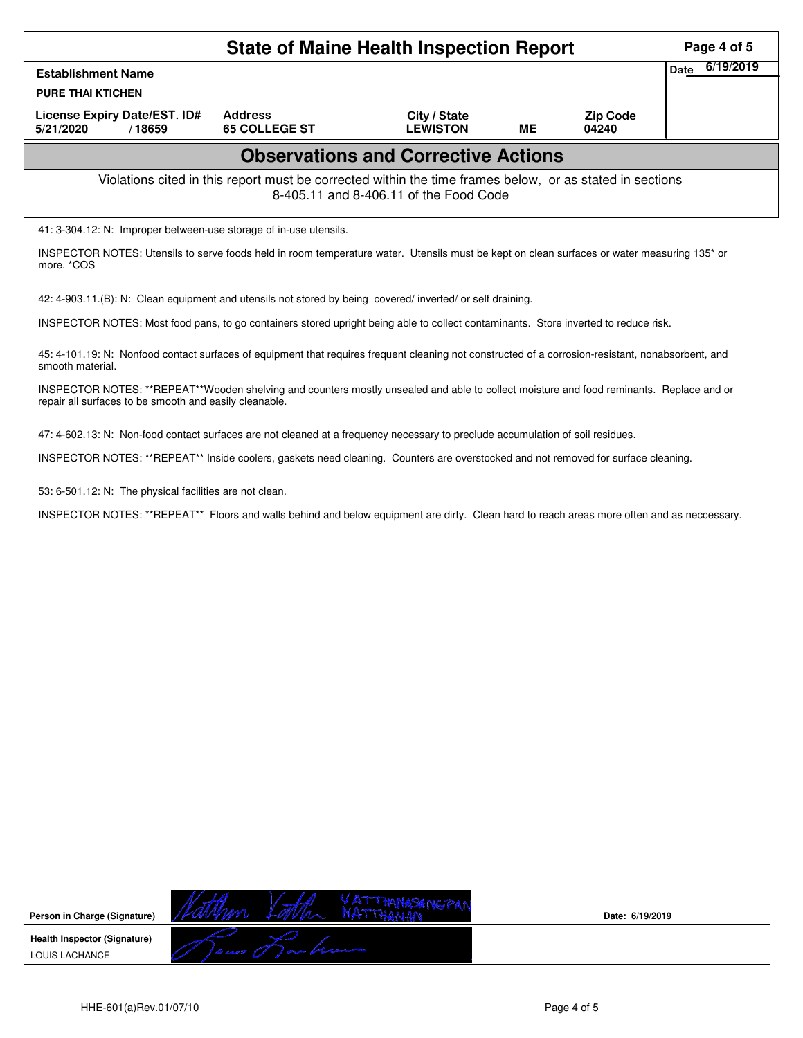|                                                                                                                                                                       | Page 4 of 5       |  |  |  |  |  |  |  |  |
|-----------------------------------------------------------------------------------------------------------------------------------------------------------------------|-------------------|--|--|--|--|--|--|--|--|
| <b>Establishment Name</b>                                                                                                                                             | 6/19/2019<br>Date |  |  |  |  |  |  |  |  |
| <b>PURE THAI KTICHEN</b>                                                                                                                                              |                   |  |  |  |  |  |  |  |  |
| License Expiry Date/EST. ID#<br>5/21/2020<br>/18659                                                                                                                   |                   |  |  |  |  |  |  |  |  |
| <b>Observations and Corrective Actions</b>                                                                                                                            |                   |  |  |  |  |  |  |  |  |
| Violations cited in this report must be corrected within the time frames below, or as stated in sections<br>8-405.11 and 8-406.11 of the Food Code                    |                   |  |  |  |  |  |  |  |  |
| 41: 3-304.12: N: Improper between-use storage of in-use utensils.                                                                                                     |                   |  |  |  |  |  |  |  |  |
| INSPECTOR NOTES: Utensils to serve foods held in room temperature water. Utensils must be kept on clean surfaces or water measuring 135 <sup>*</sup> or<br>more, *COS |                   |  |  |  |  |  |  |  |  |
| 42: 4-903.11.(B): N: Clean equipment and utensils not stored by being covered/inverted/ or self draining.                                                             |                   |  |  |  |  |  |  |  |  |
| INSPECTOR NOTES: Most food pans, to go containers stored upright being able to collect contaminants. Store inverted to reduce risk.                                   |                   |  |  |  |  |  |  |  |  |

45: 4-101.19: N: Nonfood contact surfaces of equipment that requires frequent cleaning not constructed of a corrosion-resistant, nonabsorbent, and smooth material.

INSPECTOR NOTES: \*\*REPEAT\*\*Wooden shelving and counters mostly unsealed and able to collect moisture and food reminants. Replace and or repair all surfaces to be smooth and easily cleanable.

47: 4-602.13: N: Non-food contact surfaces are not cleaned at a frequency necessary to preclude accumulation of soil residues.

INSPECTOR NOTES: \*\*REPEAT\*\* Inside coolers, gaskets need cleaning. Counters are overstocked and not removed for surface cleaning.

53: 6-501.12: N: The physical facilities are not clean.

INSPECTOR NOTES: \*\*REPEAT\*\* Floors and walls behind and below equipment are dirty. Clean hard to reach areas more often and as neccessary.

**Date: 6/19/2019**